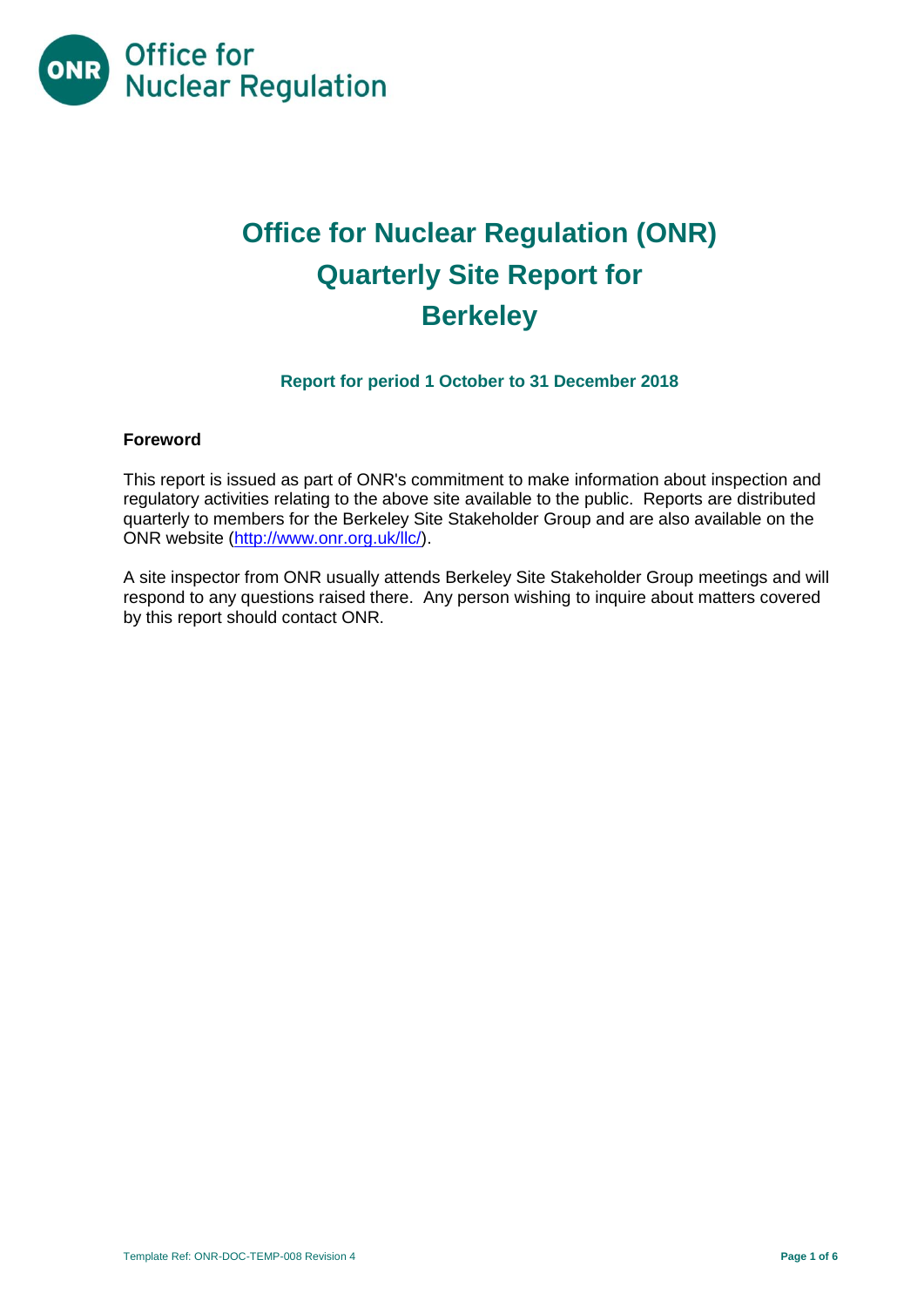

# **Office for Nuclear Regulation (ONR) Quarterly Site Report for Berkeley**

### **Report for period 1 October to 31 December 2018**

#### **Foreword**

This report is issued as part of ONR's commitment to make information about inspection and regulatory activities relating to the above site available to the public. Reports are distributed quarterly to members for the Berkeley Site Stakeholder Group and are also available on the ONR website [\(http://www.onr.org.uk/llc/\)](http://www.onr.org.uk/llc/).

A site inspector from ONR usually attends Berkeley Site Stakeholder Group meetings and will respond to any questions raised there. Any person wishing to inquire about matters covered by this report should contact ONR.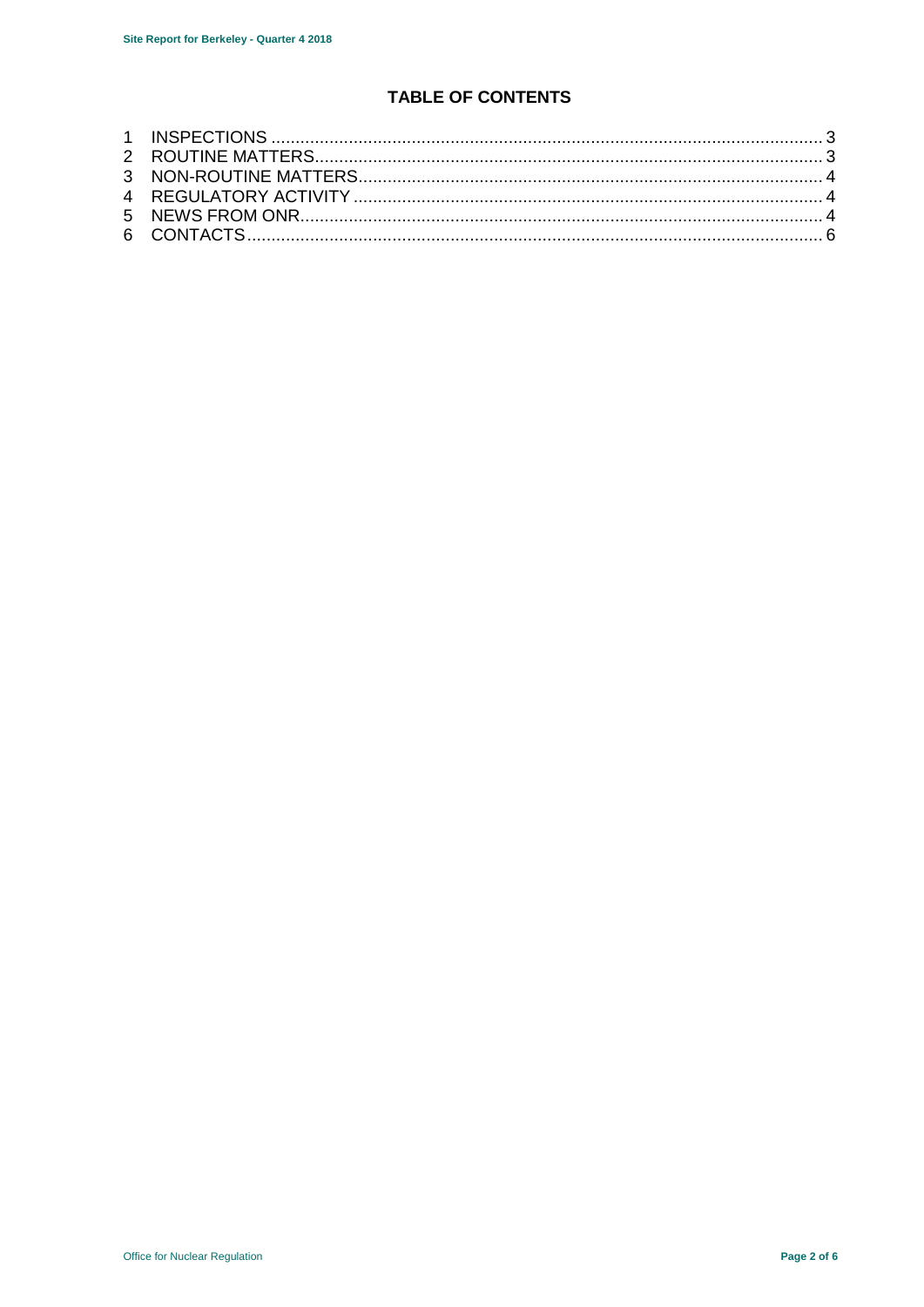# <span id="page-1-0"></span>**TABLE OF CONTENTS**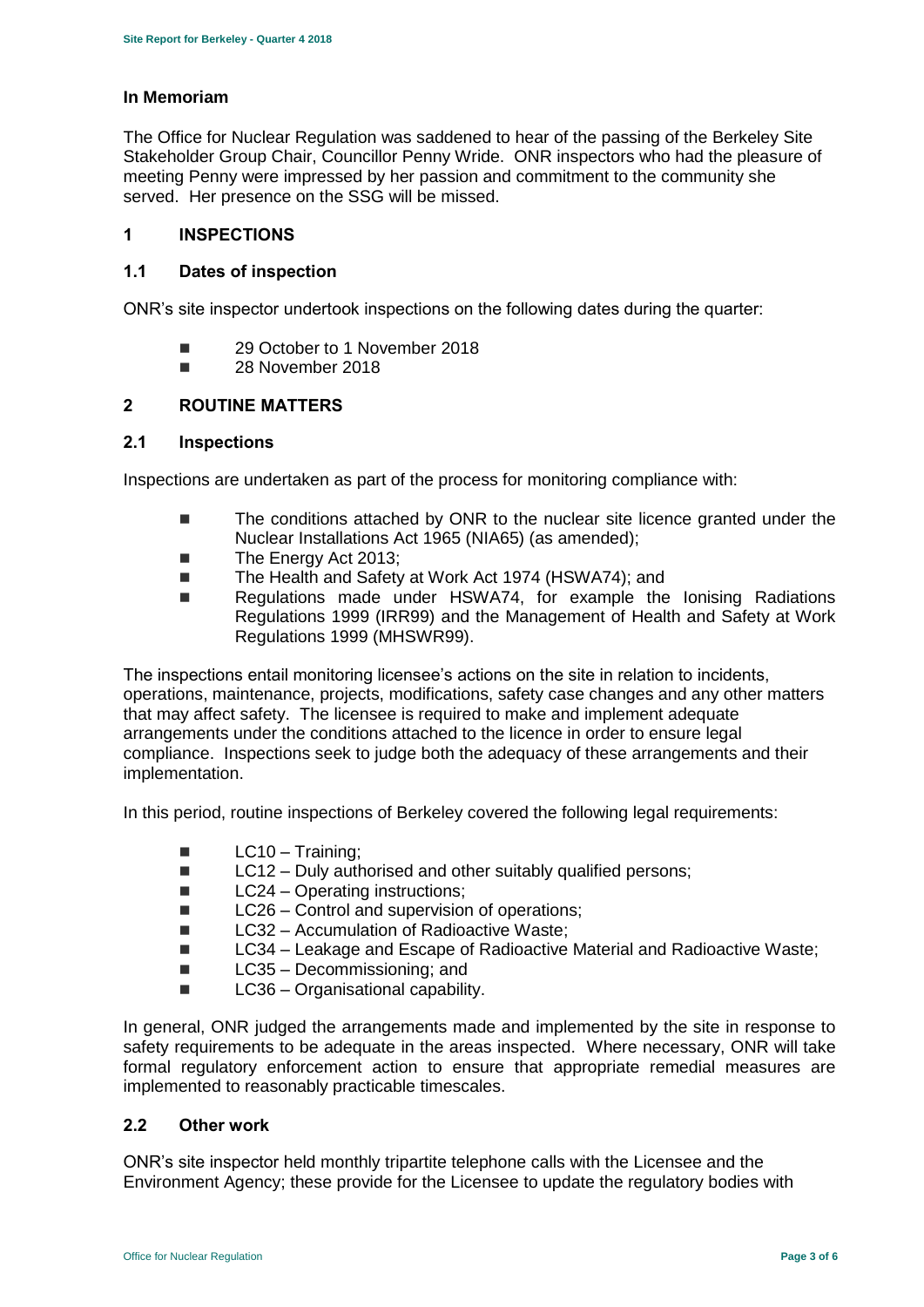#### **In Memoriam**

The Office for Nuclear Regulation was saddened to hear of the passing of the Berkeley Site Stakeholder Group Chair, Councillor Penny Wride. ONR inspectors who had the pleasure of meeting Penny were impressed by her passion and commitment to the community she served. Her presence on the SSG will be missed.

#### **1 INSPECTIONS**

#### **1.1 Dates of inspection**

ONR's site inspector undertook inspections on the following dates during the quarter:

- 29 October to 1 November 2018
- **28 November 2018**

#### <span id="page-2-0"></span>**2 ROUTINE MATTERS**

#### **2.1 Inspections**

Inspections are undertaken as part of the process for monitoring compliance with:

- The conditions attached by ONR to the nuclear site licence granted under the Nuclear Installations Act 1965 (NIA65) (as amended);
- The Energy Act 2013;
- The Health and Safety at Work Act 1974 (HSWA74); and
- Regulations made under HSWA74, for example the Ionising Radiations Regulations 1999 (IRR99) and the Management of Health and Safety at Work Regulations 1999 (MHSWR99).

The inspections entail monitoring licensee's actions on the site in relation to incidents, operations, maintenance, projects, modifications, safety case changes and any other matters that may affect safety. The licensee is required to make and implement adequate arrangements under the conditions attached to the licence in order to ensure legal compliance. Inspections seek to judge both the adequacy of these arrangements and their implementation.

In this period, routine inspections of Berkeley covered the following legal requirements:

- $\blacksquare$  LC10 Training;
- $\blacksquare$  LC12 Duly authorised and other suitably qualified persons;
- LC24 Operating instructions;
- $\Box$  LC26 Control and supervision of operations:
- LC32 Accumulation of Radioactive Waste;
- LC34 Leakage and Escape of Radioactive Material and Radioactive Waste;
- LC35 Decommissioning; and
- $\blacksquare$  LC36 Organisational capability.

In general, ONR judged the arrangements made and implemented by the site in response to safety requirements to be adequate in the areas inspected. Where necessary, ONR will take formal regulatory enforcement action to ensure that appropriate remedial measures are implemented to reasonably practicable timescales.

#### **2.2 Other work**

ONR's site inspector held monthly tripartite telephone calls with the Licensee and the Environment Agency; these provide for the Licensee to update the regulatory bodies with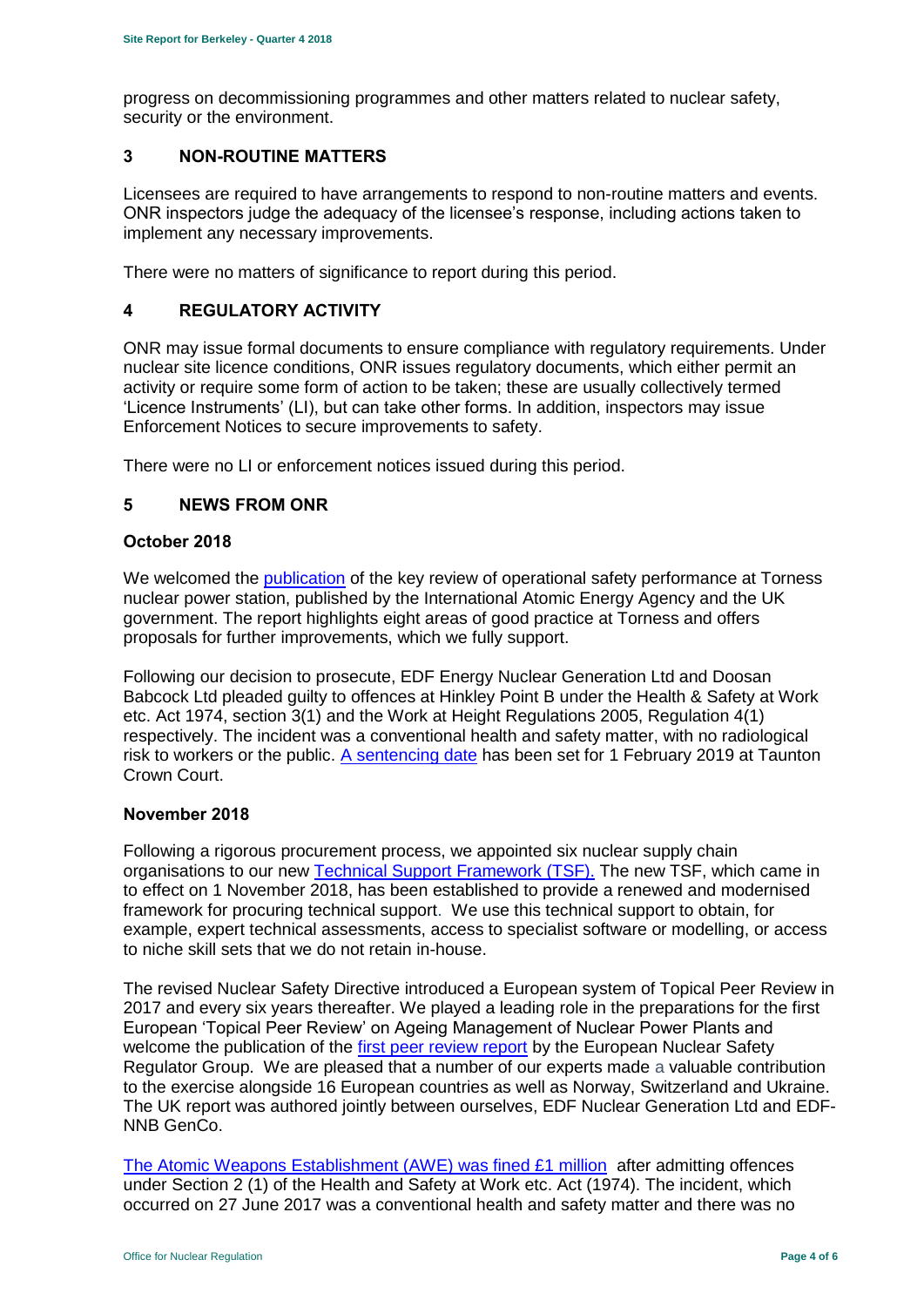progress on decommissioning programmes and other matters related to nuclear safety, security or the environment.

#### <span id="page-3-0"></span>**3 NON-ROUTINE MATTERS**

Licensees are required to have arrangements to respond to non-routine matters and events. ONR inspectors judge the adequacy of the licensee's response, including actions taken to implement any necessary improvements.

There were no matters of significance to report during this period.

#### <span id="page-3-1"></span>**4 REGULATORY ACTIVITY**

ONR may issue formal documents to ensure compliance with regulatory requirements. Under nuclear site licence conditions, ONR issues regulatory documents, which either permit an activity or require some form of action to be taken; these are usually collectively termed 'Licence Instruments' (LI), but can take other forms. In addition, inspectors may issue Enforcement Notices to secure improvements to safety.

There were no LI or enforcement notices issued during this period.

#### <span id="page-3-2"></span>**5 NEWS FROM ONR**

#### **October 2018**

We welcomed the [publication](http://news.onr.org.uk/2018/10/iaea-review-torness-power-station/) of the key review of operational safety performance at Torness nuclear power station, published by the International Atomic Energy Agency and the UK government. The report highlights eight areas of good practice at Torness and offers proposals for further improvements, which we fully support.

Following our decision to prosecute, EDF Energy Nuclear Generation Ltd and Doosan Babcock Ltd pleaded guilty to offences at Hinkley Point B under the Health & Safety at Work etc. Act 1974, section 3(1) and the Work at Height Regulations 2005, Regulation 4(1) respectively. The incident was a conventional health and safety matter, with no radiological risk to workers or the public. [A sentencing date](http://news.onr.org.uk/2018/10/edf-and-doosan-babcock-plead-guilty/) has been set for 1 February 2019 at Taunton Crown Court.

#### **November 2018**

Following a rigorous procurement process, we appointed six nuclear supply chain organisations to our new [Technical Support Framework \(TSF\).](http://news.onr.org.uk/2018/11/new-technical-support-framework-announced/) The new TSF, which came in to effect on 1 November 2018, has been established to provide a renewed and modernised framework for procuring technical support. We use this technical support to obtain, for example, expert technical assessments, access to specialist software or modelling, or access to niche skill sets that we do not retain in-house.

The revised Nuclear Safety Directive introduced a European system of Topical Peer Review in 2017 and every six years thereafter. We played a leading role in the preparations for the first European 'Topical Peer Review' on Ageing Management of Nuclear Power Plants and welcome the publication of the [first peer review report](http://news.onr.org.uk/2018/11/onr-welcomes-first-topical-peer-review/) by the European Nuclear Safety Regulator Group. We are pleased that a number of our experts made a valuable contribution to the exercise alongside 16 European countries as well as Norway, Switzerland and Ukraine. The UK report was authored jointly between ourselves, EDF Nuclear Generation Ltd and EDF-NNB GenCo.

[The Atomic Weapons Establishment \(AWE\) was fined £1 million](http://news.onr.org.uk/2018/11/awe-prosecution-reaction/) after admitting offences under Section 2 (1) of the Health and Safety at Work etc. Act (1974). The incident. which occurred on 27 June 2017 was a conventional health and safety matter and there was no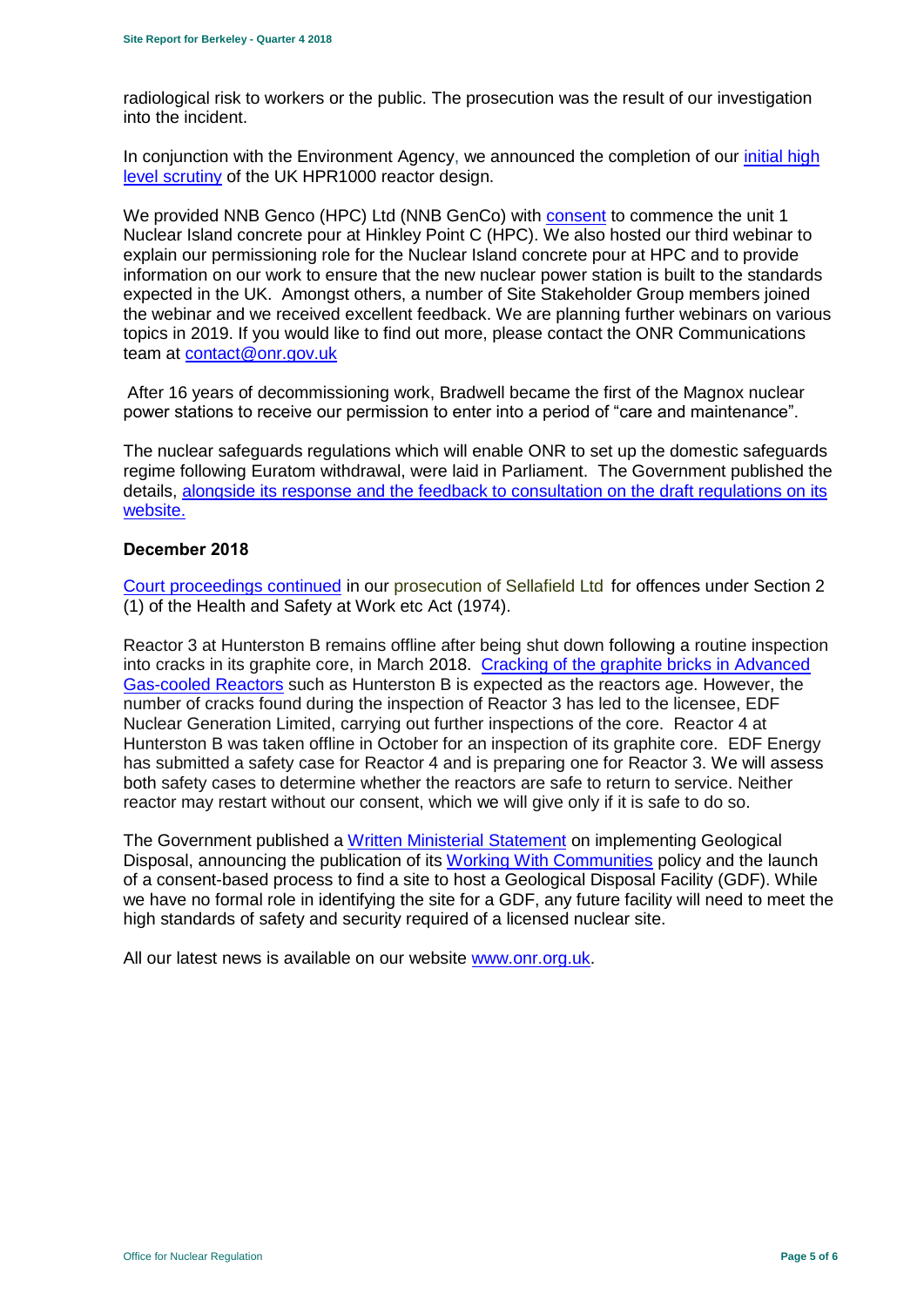radiological risk to workers or the public. The prosecution was the result of our investigation into the incident.

In conjunction with the Environment Agency, we announced the completion of our [initial high](http://news.onr.org.uk/2018/11/uk-hpr1000-completes-gda-step-2/)  [level scrutiny](http://news.onr.org.uk/2018/11/uk-hpr1000-completes-gda-step-2/) of the UK HPR1000 reactor design.

We provided NNB Genco (HPC) Ltd (NNB GenCo) with [consent](http://news.onr.org.uk/2018/11/consent-for-hinkley-point-c-nuclear-island-concrete-pour/) to commence the unit 1 Nuclear Island concrete pour at Hinkley Point C (HPC). We also hosted our third webinar to explain our permissioning role for the Nuclear Island concrete pour at HPC and to provide information on our work to ensure that the new nuclear power station is built to the standards expected in the UK. Amongst others, a number of Site Stakeholder Group members joined the webinar and we received excellent feedback. We are planning further webinars on various topics in 2019. If you would like to find out more, please contact the ONR Communications team at [contact@onr.gov.uk](mailto:contact@onr.gov.uk)

After 16 years of decommissioning work, Bradwell became the first of the Magnox nuclear power stations to receive our permission to enter into a period of "care and maintenance".

The nuclear safeguards regulations which will enable ONR to set up the domestic safeguards regime following Euratom withdrawal, were laid in Parliament. The Government published the details, [alongside its response and the feedback to consultation on the draft regulations on its](https://www.gov.uk/government/consultations/nuclear-safeguards-regulations)  [website.](https://www.gov.uk/government/consultations/nuclear-safeguards-regulations)

#### **December 2018**

[Court proceedings continued](http://news.onr.org.uk/2018/12/prosecution-of-sellafield-ltd/) in our [prosecution of Sellafield Ltd](http://news.onr.org.uk/2018/07/update-prosecution-of-sellafield-ltd/) for offences under Section 2 (1) of the Health and Safety at Work etc Act (1974).

Reactor 3 at Hunterston B remains offline after being shut down following a routine inspection into cracks in its graphite core, in March 2018. [Cracking of the graphite bricks in Advanced](http://www.onr.org.uk/civil-nuclear-reactors/graphite-core-of-agrs.htm)  [Gas-cooled Reactors](http://www.onr.org.uk/civil-nuclear-reactors/graphite-core-of-agrs.htm) such as Hunterston B is expected as the reactors age. However, the number of cracks found during the inspection of Reactor 3 has led to the licensee, EDF Nuclear Generation Limited, carrying out further inspections of the core. Reactor 4 at Hunterston B was taken offline in October for an inspection of its graphite core. EDF Energy has submitted a safety case for Reactor 4 and is preparing one for Reactor 3. We will assess both safety cases to determine whether the reactors are safe to return to service. Neither reactor may restart without our consent, which we will give only if it is safe to do so.

The Government published a [Written Ministerial Statement](https://www.parliament.uk/business/publications/written-questions-answers-statements/written-statement/Commons/2018-12-19/HCWS1217/) on implementing Geological Disposal, announcing the publication of its [Working With Communities](https://www.gov.uk/government/publications/implementing-geological-disposal-working-with-communities-long-term-management-of-higher-activity-radioactive-waste) policy and the launch of a consent-based process to find a site to host a Geological Disposal Facility (GDF). While we have no formal role in identifying the site for a GDF, any future facility will need to meet the high standards of safety and security required of a licensed nuclear site.

All our latest news is available on our website [www.onr.org.uk.](http://www.onr.org.uk/)